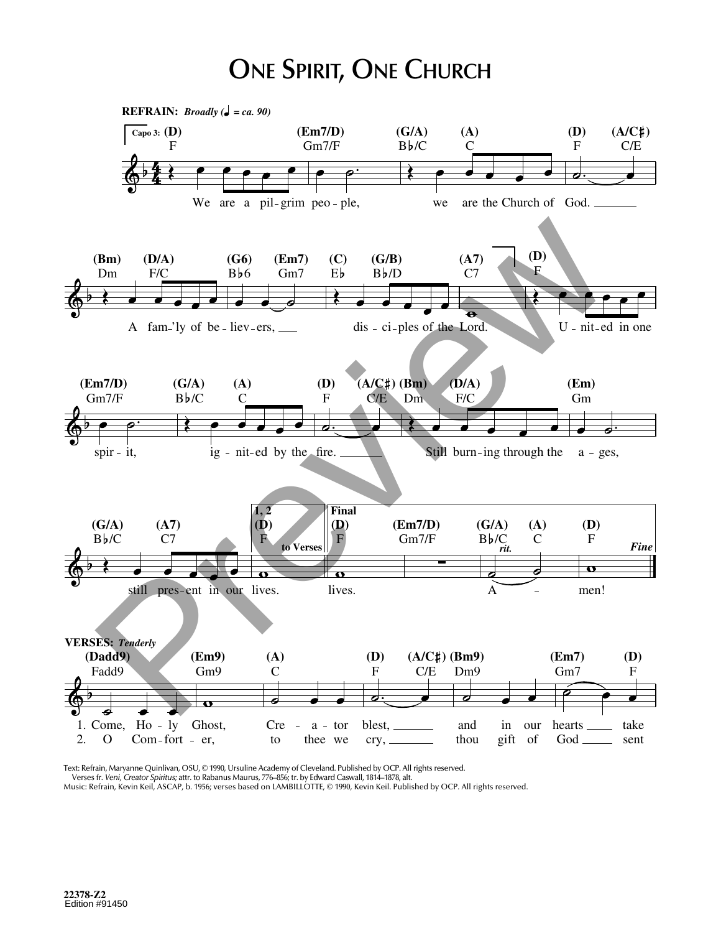## **ONE SPIRIT, ONE CHURCH**



Text: Refrain, Maryanne Quinlivan, OSU, © 1990, Ursuline Academy of Cleveland. Published by OCP. All rights reserved.

Verses fr. Veni, Creator Spiritus; attr. to Rabanus Maurus, 776-856; tr. by Edward Caswall, 1814-1878, alt.

Music: Refrain, Kevin Keil, ASCAP, b. 1956; verses based on LAMBILLOTTE, © 1990, Kevin Keil. Published by OCP. All rights reserved.